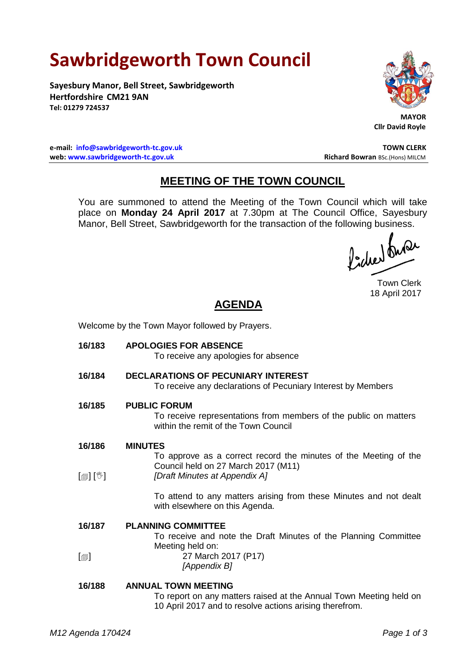# **Sawbridgeworth Town Council**

**Sayesbury Manor, Bell Street, Sawbridgeworth Hertfordshire CM21 9AN Tel: 01279 724537**



 **MAYOR Cllr David Royle**

**e-mail: [info@sawbridgeworth-tc.gov.uk](mailto:info@sawbridgeworth-tc.gov.uk) TOWN CLERK web: www.sawbridgeworth-tc.gov.uk Richard Bowran BSc.(Hons) MILCM Richard Bowran BSc.(Hons) MILCM** 

## **MEETING OF THE TOWN COUNCIL**

You are summoned to attend the Meeting of the Town Council which will take place on **Monday 24 April 2017** at 7.30pm at The Council Office, Sayesbury Manor, Bell Street, Sawbridgeworth for the transaction of the following business.

ladres buse

Town Clerk 18 April 2017

## **AGENDA**

Welcome by the Town Mayor followed by Prayers.

**16/183 APOLOGIES FOR ABSENCE** To receive any apologies for absence **16/184 DECLARATIONS OF PECUNIARY INTEREST** To receive any declarations of Pecuniary Interest by Members **16/185 PUBLIC FORUM** To receive representations from members of the public on matters within the remit of the Town Council **16/186**  $\lceil \frac{m}{2} \rceil$   $\lceil \frac{m}{2} \rceil$ **MINUTES** To approve as a correct record the minutes of the Meeting of the Council held on 27 March 2017 (M11) *[Draft Minutes at Appendix A]* To attend to any matters arising from these Minutes and not dealt with elsewhere on this Agenda. **16/187**  $\lceil$  $\blacksquare$ **PLANNING COMMITTEE** To receive and note the Draft Minutes of the Planning Committee Meeting held on: 27 March 2017 (P17) *[Appendix B]* **16/188 ANNUAL TOWN MEETING** To report on any matters raised at the Annual Town Meeting held on 10 April 2017 and to resolve actions arising therefrom.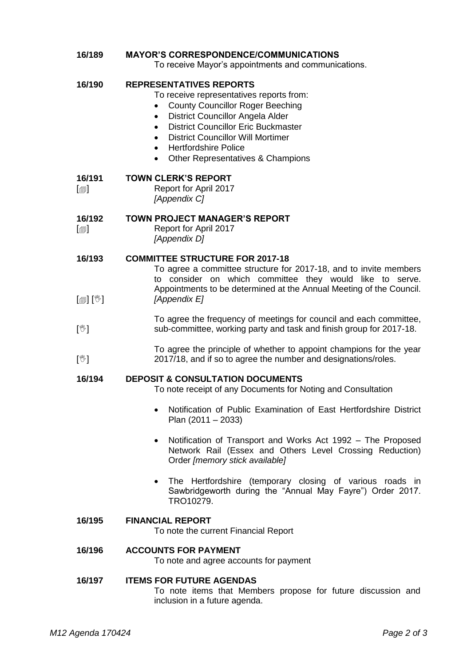## **16/189 MAYOR'S CORRESPONDENCE/COMMUNICATIONS**

To receive Mayor's appointments and communications.

#### **16/190 REPRESENTATIVES REPORTS**

- To receive representatives reports from:
- County Councillor Roger Beeching
- District Councillor Angela Alder
- District Councillor Eric Buckmaster
- District Councillor Will Mortimer
- **•** Hertfordshire Police
- Other Representatives & Champions

#### **16/191 TOWN CLERK'S REPORT**

 $\lceil$  $\blacksquare$ Report for April 2017 *[Appendix C]*

#### **16/192 TOWN PROJECT MANAGER'S REPORT**

- $\lceil$
- Report for April 2017 *[Appendix D]*

#### **16/193 COMMITTEE STRUCTURE FOR 2017-18**

- $\mathbb{E}[\mathbb{E}^{\mathbb{I}}]$ To agree a committee structure for 2017-18, and to invite members to consider on which committee they would like to serve. Appointments to be determined at the Annual Meeting of the Council. *[Appendix E]*
- $\mathsf{L}^{\mathbb{M}}$ To agree the frequency of meetings for council and each committee, sub-committee, working party and task and finish group for 2017-18.
- $\mathbb{N}$ To agree the principle of whether to appoint champions for the year 2017/18, and if so to agree the number and designations/roles.

#### **16/194 DEPOSIT & CONSULTATION DOCUMENTS**

To note receipt of any Documents for Noting and Consultation

- Notification of Public Examination of East Hertfordshire District Plan (2011 – 2033)
- Notification of Transport and Works Act 1992 The Proposed Network Rail (Essex and Others Level Crossing Reduction) Order *[memory stick available]*
- The Hertfordshire (temporary closing of various roads in Sawbridgeworth during the "Annual May Fayre") Order 2017. TRO10279.

#### **16/195 FINANCIAL REPORT**

To note the current Financial Report

### **16/196 ACCOUNTS FOR PAYMENT**

To note and agree accounts for payment

### **16/197 ITEMS FOR FUTURE AGENDAS**

To note items that Members propose for future discussion and inclusion in a future agenda.